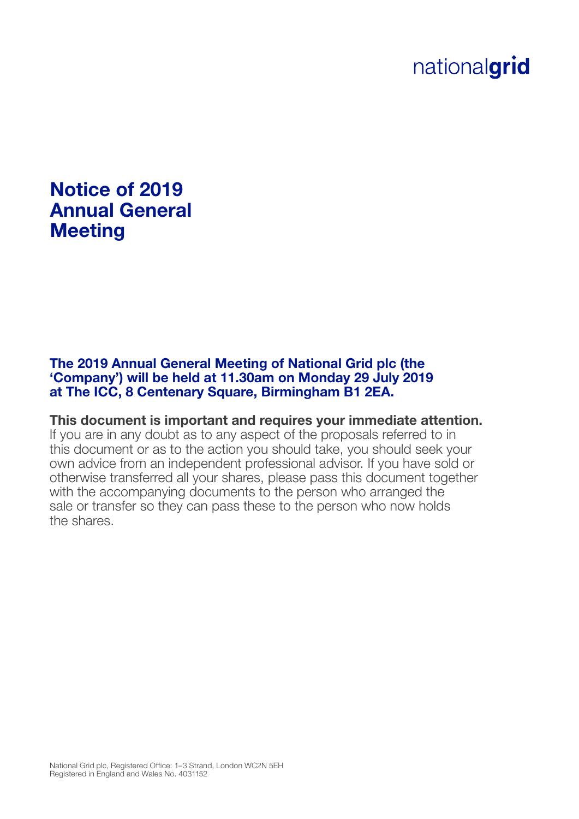# nationalgrid

# Notice of 2019 Annual General **Meeting**

The 2019 Annual General Meeting of National Grid plc (the 'Company') will be held at 11.30am on Monday 29 July 2019 at The ICC, 8 Centenary Square, Birmingham B1 2EA.

This document is important and requires your immediate attention. If you are in any doubt as to any aspect of the proposals referred to in this document or as to the action you should take, you should seek your own advice from an independent professional advisor. If you have sold or otherwise transferred all your shares, please pass this document together with the accompanying documents to the person who arranged the sale or transfer so they can pass these to the person who now holds the shares.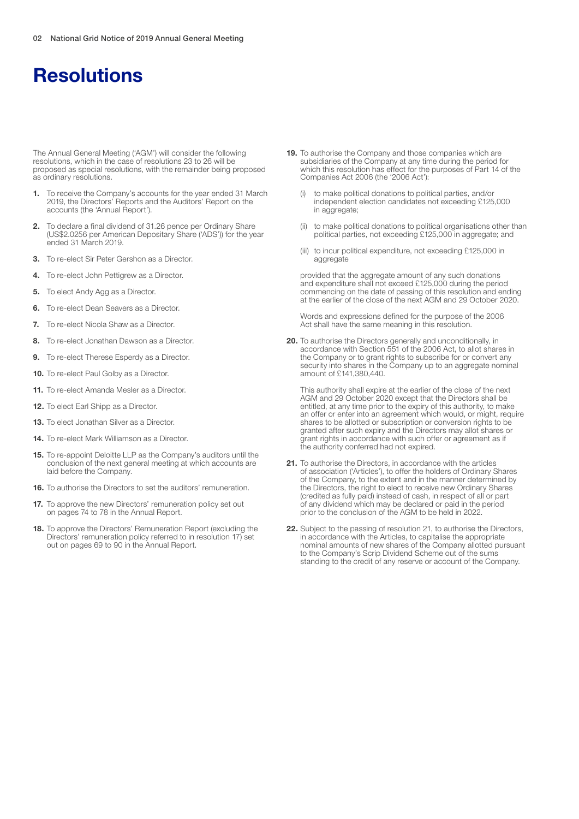The Annual General Meeting ('AGM') will consider the following resolutions, which in the case of resolutions 23 to 26 will be proposed as special resolutions, with the remainder being proposed as ordinary resolutions.

- 1. To receive the Company's accounts for the year ended 31 March 2019, the Directors' Reports and the Auditors' Report on the accounts (the 'Annual Report').
- 2. To declare a final dividend of 31.26 pence per Ordinary Share (US\$2.0256 per American Depositary Share ('ADS')) for the year ended 31 March 2019.
- 3. To re-elect Sir Peter Gershon as a Director.
- 4. To re-elect John Pettigrew as a Director.
- **5.** To elect Andy Agg as a Director.
- **6.** To re-elect Dean Seavers as a Director.
- 7. To re-elect Nicola Shaw as a Director.
- 8. To re-elect Jonathan Dawson as a Director.
- 9. To re-elect Therese Esperdy as a Director.
- 10. To re-elect Paul Golby as a Director.
- 11. To re-elect Amanda Mesler as a Director.
- 12. To elect Earl Shipp as a Director.
- 13. To elect Jonathan Silver as a Director.
- 14. To re-elect Mark Williamson as a Director.
- 15. To re-appoint Deloitte LLP as the Company's auditors until the conclusion of the next general meeting at which accounts are laid before the Company.
- 16. To authorise the Directors to set the auditors' remuneration.
- 17. To approve the new Directors' remuneration policy set out on pages 74 to 78 in the Annual Report.
- 18. To approve the Directors' Remuneration Report (excluding the Directors' remuneration policy referred to in resolution 17) set out on pages 69 to 90 in the Annual Report.
- 19. To authorise the Company and those companies which are subsidiaries of the Company at any time during the period for which this resolution has effect for the purposes of Part 14 of the Companies Act 2006 (the '2006 Act'):
	- (i) to make political donations to political parties, and/or independent election candidates not exceeding £125,000 in aggregate;
	- (ii) to make political donations to political organisations other than political parties, not exceeding £125,000 in aggregate; and
	- (iii) to incur political expenditure, not exceeding £125,000 in aggregate

provided that the aggregate amount of any such donations and expenditure shall not exceed £125,000 during the period commencing on the date of passing of this resolution and ending at the earlier of the close of the next AGM and 29 October 2020.

Words and expressions defined for the purpose of the 2006 Act shall have the same meaning in this resolution.

20. To authorise the Directors generally and unconditionally, in accordance with Section 551 of the 2006 Act, to allot shares in the Company or to grant rights to subscribe for or convert any security into shares in the Company up to an aggregate nominal amount of £141,380,440.

This authority shall expire at the earlier of the close of the next AGM and 29 October 2020 except that the Directors shall be entitled, at any time prior to the expiry of this authority, to make an offer or enter into an agreement which would, or might, require shares to be allotted or subscription or conversion rights to be granted after such expiry and the Directors may allot shares or grant rights in accordance with such offer or agreement as if the authority conferred had not expired.

- 21. To authorise the Directors, in accordance with the articles of association ('Articles'), to offer the holders of Ordinary Shares of the Company, to the extent and in the manner determined by the Directors, the right to elect to receive new Ordinary Shares (credited as fully paid) instead of cash, in respect of all or part of any dividend which may be declared or paid in the period prior to the conclusion of the AGM to be held in 2022.
- 22. Subject to the passing of resolution 21, to authorise the Directors, in accordance with the Articles, to capitalise the appropriate nominal amounts of new shares of the Company allotted pursuant to the Company's Scrip Dividend Scheme out of the sums standing to the credit of any reserve or account of the Company.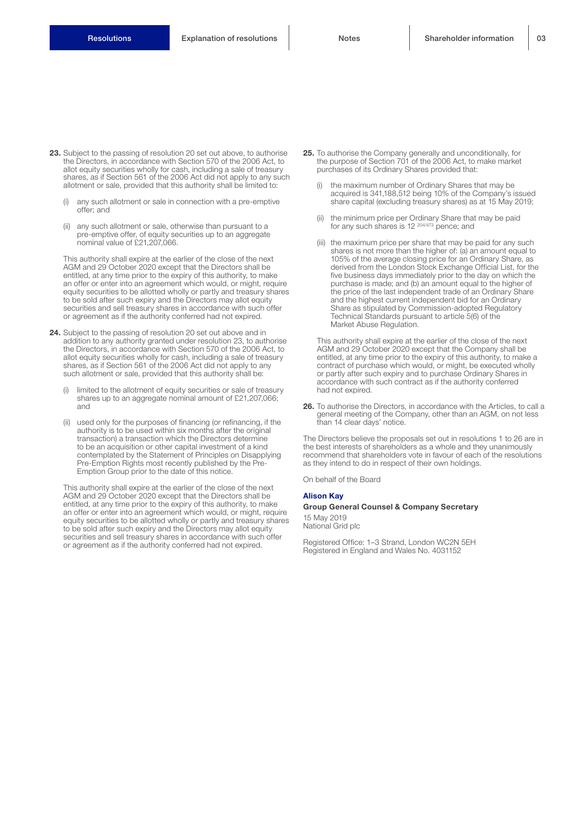- 23. Subject to the passing of resolution 20 set out above, to authorise the Directors, in accordance with Section 570 of the 2006 Act, to allot equity securities wholly for cash, including a sale of treasury shares, as if Section 561 of the 2006 Act did not apply to any such allotment or sale, provided that this authority shall be limited to:
	- (i) any such allotment or sale in connection with a pre-emptive offer; and
	- (ii) any such allotment or sale, otherwise than pursuant to a pre-emptive offer, of equity securities up to an aggregate nominal value of £21,207,066.

This authority shall expire at the earlier of the close of the next AGM and 29 October 2020 except that the Directors shall be entitled, at any time prior to the expiry of this authority, to make an offer or enter into an agreement which would, or might, require equity securities to be allotted wholly or partly and treasury shares to be sold after such expiry and the Directors may allot equity securities and sell treasury shares in accordance with such offer or agreement as if the authority conferred had not expired.

- 24. Subject to the passing of resolution 20 set out above and in addition to any authority granted under resolution 23, to authorise the Directors, in accordance with Section 570 of the 2006 Act, to allot equity securities wholly for cash, including a sale of treasury shares, as if Section 561 of the 2006 Act did not apply to any such allotment or sale, provided that this authority shall be:
	- limited to the allotment of equity securities or sale of treasury shares up to an aggregate nominal amount of £21,207,066; and
	- (ii) used only for the purposes of financing (or refinancing, if the authority is to be used within six months after the original transaction) a transaction which the Directors determine to be an acquisition or other capital investment of a kind contemplated by the Statement of Principles on Disapplying Pre-Emption Rights most recently published by the Pre-Emption Group prior to the date of this notice.

This authority shall expire at the earlier of the close of the next AGM and 29 October 2020 except that the Directors shall be entitled, at any time prior to the expiry of this authority, to make an offer or enter into an agreement which would, or might, require equity securities to be allotted wholly or partly and treasury shares to be sold after such expiry and the Directors may allot equity securities and sell treasury shares in accordance with such offer or agreement as if the authority conferred had not expired.

- 25. To authorise the Company generally and unconditionally, for the purpose of Section 701 of the 2006 Act, to make market purchases of its Ordinary Shares provided that:
	- the maximum number of Ordinary Shares that may be acquired is 341,188,512 being 10% of the Company's issued share capital (excluding treasury shares) as at 15 May 2019;
	- (ii) the minimum price per Ordinary Share that may be paid for any such shares is 12 204/473 pence; and
	- (iii) the maximum price per share that may be paid for any such shares is not more than the higher of: (a) an amount equal to 105% of the average closing price for an Ordinary Share, as derived from the London Stock Exchange Official List, for the five business days immediately prior to the day on which the purchase is made; and (b) an amount equal to the higher of the price of the last independent trade of an Ordinary Share and the highest current independent bid for an Ordinary Share as stipulated by Commission-adopted Regulatory Technical Standards pursuant to article 5(6) of the Market Abuse Regulation.

This authority shall expire at the earlier of the close of the next AGM and 29 October 2020 except that the Company shall be entitled, at any time prior to the expiry of this authority, to make a contract of purchase which would, or might, be executed wholly or partly after such expiry and to purchase Ordinary Shares in accordance with such contract as if the authority conferred had not expired.

26. To authorise the Directors, in accordance with the Articles, to call a general meeting of the Company, other than an AGM, on not less than 14 clear days' notice.

The Directors believe the proposals set out in resolutions 1 to 26 are in the best interests of shareholders as a whole and they unanimously recommend that shareholders vote in favour of each of the resolutions as they intend to do in respect of their own holdings.

On behalf of the Board

#### Alison Kay

#### Group General Counsel & Company Secretary

15 May 2019 National Grid plc

Registered Office: 1–3 Strand, London WC2N 5EH Registered in England and Wales No. 4031152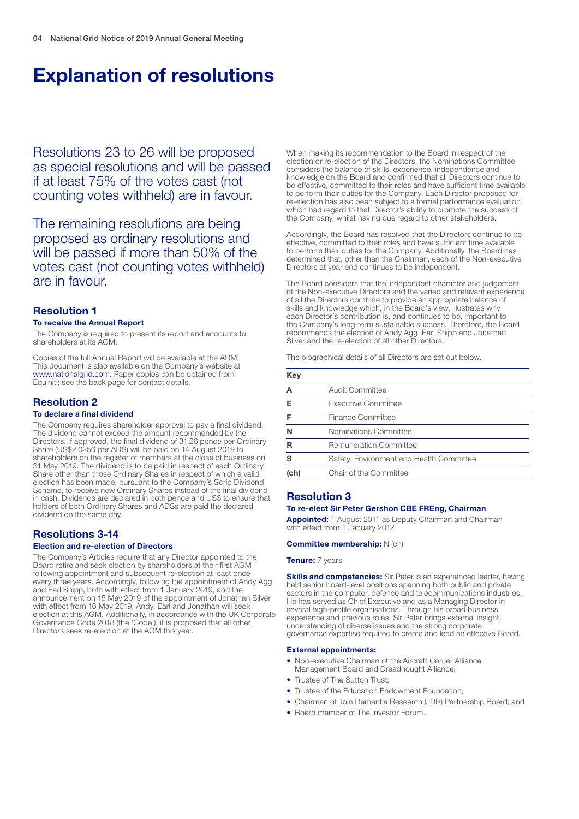# Explanation of resolutions

Resolutions 23 to 26 will be proposed as special resolutions and will be passed if at least 75% of the votes cast (not counting votes withheld) are in favour.

The remaining resolutions are being proposed as ordinary resolutions and will be passed if more than 50% of the votes cast (not counting votes withheld) are in favour.

# Resolution 1

#### To receive the Annual Report

The Company is required to present its report and accounts to shareholders at its AGM.

Copies of the full Annual Report will be available at the AGM. This document is also available on the Company's website at www.nationalgrid.com. Paper copies can be obtained from Equiniti; see the back page for contact details.

# Resolution 2

#### To declare a final dividend

The Company requires shareholder approval to pay a final dividend. The dividend cannot exceed the amount recommended by the Directors. If approved, the final dividend of 31.26 pence per Ordinary Share (US\$2.0256 per ADS) will be paid on 14 August 2019 to shareholders on the register of members at the close of business on 31 May 2019. The dividend is to be paid in respect of each Ordinary Share other than those Ordinary Shares in respect of which a valid election has been made, pursuant to the Company's Scrip Dividend Scheme, to receive new Ordinary Shares instead of the final dividend in cash. Dividends are declared in both pence and US\$ to ensure that holders of both Ordinary Shares and ADSs are paid the declared dividend on the same day.

# Resolutions 3-14

#### Election and re-election of Directors

The Company's Articles require that any Director appointed to the Board retire and seek election by shareholders at their first AGM following appointment and subsequent re-election at least once every three years. Accordingly, following the appointment of Andy Agg and Earl Shipp, both with effect from 1 January 2019, and the announcement on 15 May 2019 of the appointment of Jonathan Silver with effect from 16 May 2019, Andy, Earl and Jonathan will seek election at this AGM. Additionally, in accordance with the UK Corporate Governance Code 2018 (the 'Code'), it is proposed that all other Directors seek re-election at the AGM this year.

When making its recommendation to the Board in respect of the election or re-election of the Directors, the Nominations Committee considers the balance of skills, experience, independence and knowledge on the Board and confirmed that all Directors continue to be effective, committed to their roles and have sufficient time available to perform their duties for the Company. Each Director proposed for re-election has also been subject to a formal performance evaluation which had regard to that Director's ability to promote the success of the Company, whilst having due regard to other stakeholders.

Accordingly, the Board has resolved that the Directors continue to be effective, committed to their roles and have sufficient time available to perform their duties for the Company. Additionally, the Board has determined that, other than the Chairman, each of the Non-executive Directors at year end continues to be independent.

The Board considers that the independent character and judgement of the Non-executive Directors and the varied and relevant experience of all the Directors combine to provide an appropriate balance of skills and knowledge which, in the Board's view, illustrates why each Director's contribution is, and continues to be, important to the Company's long-term sustainable success. Therefore, the Board recommends the election of Andy Agg, Earl Shipp and Jonathan Silver and the re-election of all other Directors.

The biographical details of all Directors are set out below.

| Key  |                                          |
|------|------------------------------------------|
|      | Audit Committee                          |
|      | Executive Committee                      |
|      | Finance Committee                        |
|      | Nominations Committee                    |
|      | <b>Remuneration Committee</b>            |
| s    | Safety, Environment and Health Committee |
| (ch) | Chair of the Committee                   |

# Resolution 3

#### To re-elect Sir Peter Gershon CBE FREng, Chairman

Appointed: 1 August 2011 as Deputy Chairman and Chairman with effect from 1 January 2012

#### Committee membership: N (ch)

#### **Tenure: 7 years**

**Skills and competencies:** Sir Peter is an experienced leader, having held senior board-level positions spanning both public and private sectors in the computer, defence and telecommunications industries. He has served as Chief Executive and as a Managing Director in several high-profile organisations. Through his broad business experience and previous roles, Sir Peter brings external insight, understanding of diverse issues and the strong corporate governance expertise required to create and lead an effective Board.

#### External appointments:

- Non-executive Chairman of the Aircraft Carrier Alliance Management Board and Dreadnought Alliance;
- Trustee of The Sutton Trust:
- Trustee of the Education Endowment Foundation:
- Chairman of Join Dementia Research (JDR) Partnership Board; and
- Board member of The Investor Forum.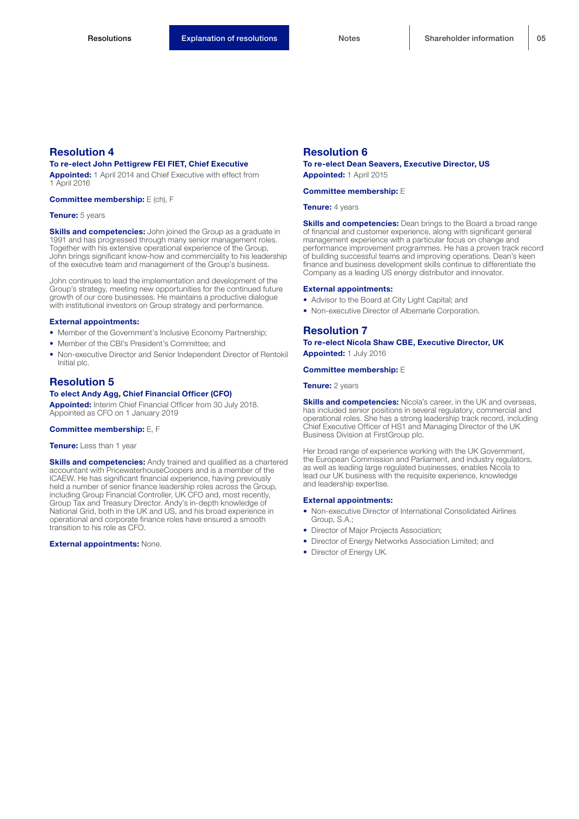# To re-elect John Pettigrew FEI FIET, Chief Executive

Appointed: 1 April 2014 and Chief Executive with effect from 1 April 2016

#### Committee membership: E (ch), F

#### Tenure: 5 years

**Skills and competencies:** John joined the Group as a graduate in 1991 and has progressed through many senior management roles. Together with his extensive operational experience of the Group, John brings significant know-how and commerciality to his leadership of the executive team and management of the Group's business.

John continues to lead the implementation and development of the Group's strategy, meeting new opportunities for the continued future growth of our core businesses. He maintains a productive dialogue with institutional investors on Group strategy and performance.

#### External appointments:

- Member of the Government's Inclusive Economy Partnership;
- Member of the CBI's President's Committee; and
- Non-executive Director and Senior Independent Director of Rentokil Initial plc.

### Resolution 5

# To elect Andy Agg, Chief Financial Officer (CFO)

Appointed: Interim Chief Financial Officer from 30 July 2018. Appointed as CFO on 1 January 2019

#### Committee membership: E, F

#### Tenure: Less than 1 year

**Skills and competencies:** Andy trained and qualified as a chartered accountant with PricewaterhouseCoopers and is a member of the ICAEW. He has significant financial experience, having previously held a number of senior finance leadership roles across the Group, including Group Financial Controller, UK CFO and, most recently, Group Tax and Treasury Director. Andy's in-depth knowledge of National Grid, both in the UK and US, and his broad experience in operational and corporate finance roles have ensured a smooth transition to his role as CFO.

#### **External appointments: None.**

## Resolution 6

To re-elect Dean Seavers, Executive Director, US Appointed: 1 April 2015

#### Committee membership: E

Tenure: 4 years

**Skills and competencies:** Dean brings to the Board a broad range of financial and customer experience, along with significant general management experience with a particular focus on change and performance improvement programmes. He has a proven track record of building successful teams and improving operations. Dean's keen finance and business development skills continue to differentiate the Company as a leading US energy distributor and innovator.

#### External appointments:

- Advisor to the Board at City Light Capital; and
- Non-executive Director of Albemarle Corporation.

### Resolution 7

To re-elect Nicola Shaw CBE, Executive Director, UK Appointed: 1 July 2016

#### Committee membership: E

**Tenure:** 2 years

**Skills and competencies:** Nicola's career, in the UK and overseas, has included senior positions in several regulatory, commercial and operational roles. She has a strong leadership track record, including Chief Executive Officer of HS1 and Managing Director of the UK Business Division at FirstGroup plc.

Her broad range of experience working with the UK Government, the European Commission and Parliament, and industry regulators, as well as leading large regulated businesses, enables Nicola to lead our UK business with the requisite experience, knowledge and leadership expertise.

#### External appointments:

- Non-executive Director of International Consolidated Airlines Group, S.A.;
- Director of Major Projects Association;
- Director of Energy Networks Association Limited; and
- Director of Energy UK.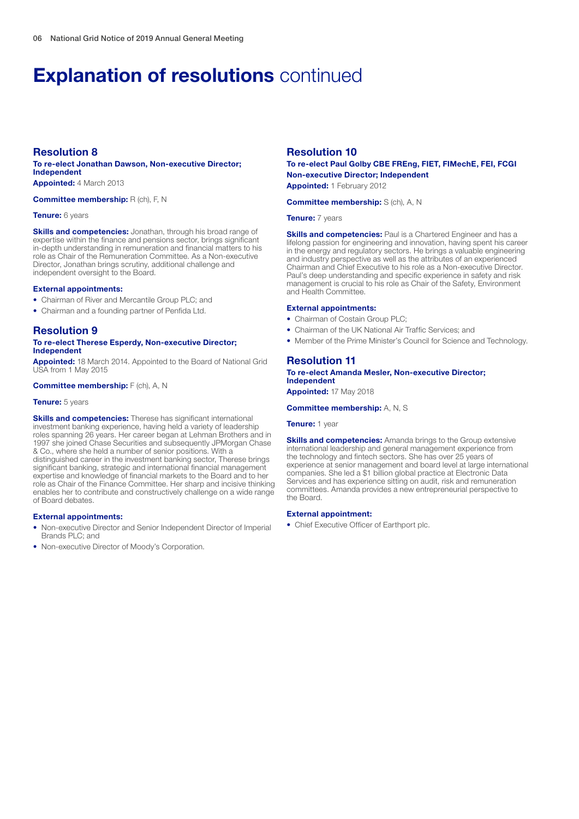# **Explanation of resolutions continued**

# Resolution 8

#### To re-elect Jonathan Dawson, Non-executive Director; Independent Appointed: 4 March 2013

Committee membership: R (ch), F, N

#### Tenure: 6 years

**Skills and competencies:** Jonathan, through his broad range of expertise within the finance and pensions sector, brings significant in-depth understanding in remuneration and financial matters to his role as Chair of the Remuneration Committee. As a Non-executive Director, Jonathan brings scrutiny, additional challenge and independent oversight to the Board.

#### External appointments:

- Chairman of River and Mercantile Group PLC; and
- Chairman and a founding partner of Penfida Ltd.

# Resolution 9

#### To re-elect Therese Esperdy, Non-executive Director; Independent

**Appointed:** 18 March 2014. Appointed to the Board of National Grid USA from 1 May 2015

Committee membership: F (ch), A, N

#### Tenure: 5 years

**Skills and competencies:** Therese has significant international investment banking experience, having held a variety of leadership roles spanning 26 years. Her career began at Lehman Brothers and in 1997 she joined Chase Securities and subsequently JPMorgan Chase & Co., where she held a number of senior positions. With a distinguished career in the investment banking sector, Therese brings significant banking, strategic and international financial management expertise and knowledge of financial markets to the Board and to her role as Chair of the Finance Committee. Her sharp and incisive thinking enables her to contribute and constructively challenge on a wide range of Board debates.

#### External appointments:

- Non-executive Director and Senior Independent Director of Imperial Brands PLC; and
- Non-executive Director of Moody's Corporation.

## Resolution 10

### To re-elect Paul Golby CBE FREng, FIET, FIMechE, FEI, FCGI Non-executive Director; Independent

Appointed: 1 February 2012

Committee membership: S (ch), A, N

#### Tenure: 7 years

**Skills and competencies:** Paul is a Chartered Engineer and has a lifelong passion for engineering and innovation, having spent his career in the energy and regulatory sectors. He brings a valuable engineering and industry perspective as well as the attributes of an experienced Chairman and Chief Executive to his role as a Non-executive Director. Paul's deep understanding and specific experience in safety and risk management is crucial to his role as Chair of the Safety, Environment and Health Committee.

### External appointments:

- Chairman of Costain Group PLC;
- Chairman of the UK National Air Traffic Services; and
- Member of the Prime Minister's Council for Science and Technology.

### Resolution 11

To re-elect Amanda Mesler, Non-executive Director; Independent

Appointed: 17 May 2018

Committee membership: A, N, S

#### Tenure: 1 year

**Skills and competencies:** Amanda brings to the Group extensive international leadership and general management experience from the technology and fintech sectors. She has over 25 years of experience at senior management and board level at large international companies. She led a \$1 billion global practice at Electronic Data Services and has experience sitting on audit, risk and remuneration committees. Amanda provides a new entrepreneurial perspective to the Board.

#### External appointment:

• Chief Executive Officer of Earthport plc.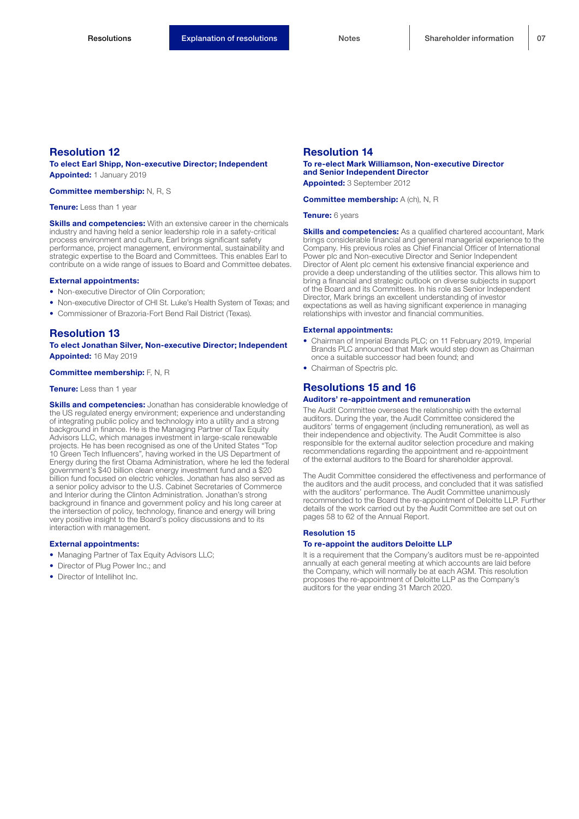To elect Earl Shipp, Non-executive Director; Independent Appointed: 1 January 2019

Committee membership: N, R, S

Tenure: Less than 1 year

**Skills and competencies:** With an extensive career in the chemicals industry and having held a senior leadership role in a safety-critical process environment and culture, Earl brings significant safety performance, project management, environmental, sustainability and strategic expertise to the Board and Committees. This enables Earl to contribute on a wide range of issues to Board and Committee debates.

#### External appointments:

- Non-executive Director of Olin Corporation;
- Non-executive Director of CHI St. Luke's Health System of Texas; and
- Commissioner of Brazoria-Fort Bend Rail District (Texas).

# Resolution 13

To elect Jonathan Silver, Non-executive Director; Independent Appointed: 16 May 2019

#### Committee membership: F, N, R

#### Tenure: Less than 1 year

Skills and competencies: Jonathan has considerable knowledge of the US regulated energy environment; experience and understanding of integrating public policy and technology into a utility and a strong background in finance. He is the Managing Partner of Tax Equity Advisors LLC, which manages investment in large-scale renewable projects. He has been recognised as one of the United States "Top 10 Green Tech Influencers", having worked in the US Department of Energy during the first Obama Administration, where he led the federal government's \$40 billion clean energy investment fund and a \$20 billion fund focused on electric vehicles. Jonathan has also served as a senior policy advisor to the U.S. Cabinet Secretaries of Commerce and Interior during the Clinton Administration. Jonathan's strong background in finance and government policy and his long career at the intersection of policy, technology, finance and energy will bring very positive insight to the Board's policy discussions and to its interaction with management.

#### External appointments:

- Managing Partner of Tax Equity Advisors LLC;
- Director of Plug Power Inc.; and
- Director of Intellihot Inc.

## Resolution 14

# To re-elect Mark Williamson, Non-executive Director and Senior Independent Director

Appointed: 3 September 2012

Committee membership: A (ch), N, R

Tenure: 6 years

**Skills and competencies:** As a qualified chartered accountant, Mark brings considerable financial and general managerial experience to the Company. His previous roles as Chief Financial Officer of International Power plc and Non-executive Director and Senior Independent Director of Alent plc cement his extensive financial experience and provide a deep understanding of the utilities sector. This allows him to bring a financial and strategic outlook on diverse subjects in support of the Board and its Committees. In his role as Senior Independent Director, Mark brings an excellent understanding of investor expectations as well as having significant experience in managing relationships with investor and financial communities.

#### External appointments:

- Chairman of Imperial Brands PLC; on 11 February 2019, Imperial Brands PLC announced that Mark would step down as Chairman once a suitable successor had been found; and
- Chairman of Spectris plc.

### Resolutions 15 and 16

#### Auditors' re-appointment and remuneration

The Audit Committee oversees the relationship with the external auditors. During the year, the Audit Committee considered the auditors' terms of engagement (including remuneration), as well as their independence and objectivity. The Audit Committee is also responsible for the external auditor selection procedure and making recommendations regarding the appointment and re-appointment of the external auditors to the Board for shareholder approval.

The Audit Committee considered the effectiveness and performance of the auditors and the audit process, and concluded that it was satisfied with the auditors' performance. The Audit Committee unanimously recommended to the Board the re-appointment of Deloitte LLP. Further details of the work carried out by the Audit Committee are set out on pages 58 to 62 of the Annual Report.

#### Resolution 15

## To re-appoint the auditors Deloitte LLP

It is a requirement that the Company's auditors must be re-appointed annually at each general meeting at which accounts are laid before the Company, which will normally be at each AGM. This resolution proposes the re-appointment of Deloitte LLP as the Company's auditors for the year ending 31 March 2020.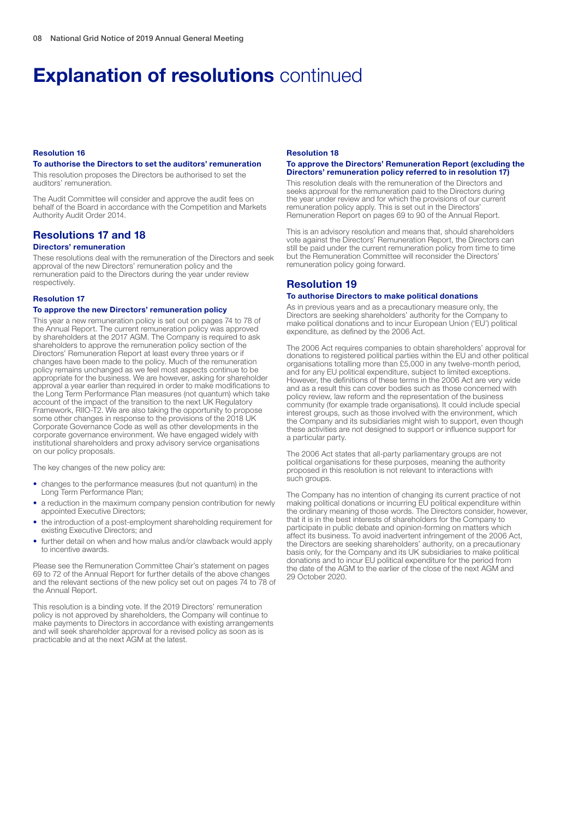# **Explanation of resolutions continued**

#### Resolution 16

## To authorise the Directors to set the auditors' remuneration

This resolution proposes the Directors be authorised to set the auditors' remuneration.

The Audit Committee will consider and approve the audit fees on behalf of the Board in accordance with the Competition and Markets Authority Audit Order 2014.

# Resolutions 17 and 18

#### Directors' remuneration

These resolutions deal with the remuneration of the Directors and seek approval of the new Directors' remuneration policy and the remuneration paid to the Directors during the year under review respectively.

#### Resolution 17

#### To approve the new Directors' remuneration policy

This year a new remuneration policy is set out on pages 74 to 78 of the Annual Report. The current remuneration policy was approved by shareholders at the 2017 AGM. The Company is required to ask shareholders to approve the remuneration policy section of the Directors' Remuneration Report at least every three years or if changes have been made to the policy. Much of the remuneration policy remains unchanged as we feel most aspects continue to be appropriate for the business. We are however, asking for shareholder approval a year earlier than required in order to make modifications to the Long Term Performance Plan measures (not quantum) which take account of the impact of the transition to the next UK Regulatory Framework, RIIO-T2. We are also taking the opportunity to propose some other changes in response to the provisions of the 2018 UK Corporate Governance Code as well as other developments in the corporate governance environment. We have engaged widely with institutional shareholders and proxy advisory service organisations on our policy proposals.

The key changes of the new policy are:

- changes to the performance measures (but not quantum) in the Long Term Performance Plan;
- a reduction in the maximum company pension contribution for newly appointed Executive Directors;
- the introduction of a post-employment shareholding requirement for existing Executive Directors; and
- further detail on when and how malus and/or clawback would apply to incentive awards.

Please see the Remuneration Committee Chair's statement on pages 69 to 72 of the Annual Report for further details of the above changes and the relevant sections of the new policy set out on pages 74 to 78 of the Annual Report.

This resolution is a binding vote. If the 2019 Directors' remuneration policy is not approved by shareholders, the Company will continue to make payments to Directors in accordance with existing arrangements and will seek shareholder approval for a revised policy as soon as is practicable and at the next AGM at the latest.

# Resolution 18

#### To approve the Directors' Remuneration Report (excluding the Directors' remuneration policy referred to in resolution 17)

This resolution deals with the remuneration of the Directors and seeks approval for the remuneration paid to the Directors during the year under review and for which the provisions of our current remuneration policy apply. This is set out in the Directors' Remuneration Report on pages 69 to 90 of the Annual Report.

This is an advisory resolution and means that, should shareholders vote against the Directors' Remuneration Report, the Directors can still be paid under the current remuneration policy from time to time but the Remuneration Committee will reconsider the Directors' remuneration policy going forward.

# Resolution 19

#### To authorise Directors to make political donations

As in previous years and as a precautionary measure only, the Directors are seeking shareholders' authority for the Company to make political donations and to incur European Union ('EU') political expenditure, as defined by the 2006 Act.

The 2006 Act requires companies to obtain shareholders' approval for donations to registered political parties within the EU and other political organisations totalling more than £5,000 in any twelve-month period, and for any EU political expenditure, subject to limited exceptions. However, the definitions of these terms in the 2006 Act are very wide and as a result this can cover bodies such as those concerned with policy review, law reform and the representation of the business community (for example trade organisations). It could include special interest groups, such as those involved with the environment, which the Company and its subsidiaries might wish to support, even though these activities are not designed to support or influence support for a particular party.

The 2006 Act states that all-party parliamentary groups are not political organisations for these purposes, meaning the authority proposed in this resolution is not relevant to interactions with such groups.

The Company has no intention of changing its current practice of not making political donations or incurring EU political expenditure within the ordinary meaning of those words. The Directors consider, however, that it is in the best interests of shareholders for the Company to participate in public debate and opinion-forming on matters which affect its business. To avoid inadvertent infringement of the 2006 Act, the Directors are seeking shareholders' authority, on a precautionary basis only, for the Company and its UK subsidiaries to make political donations and to incur EU political expenditure for the period from the date of the AGM to the earlier of the close of the next AGM and 29 October 2020.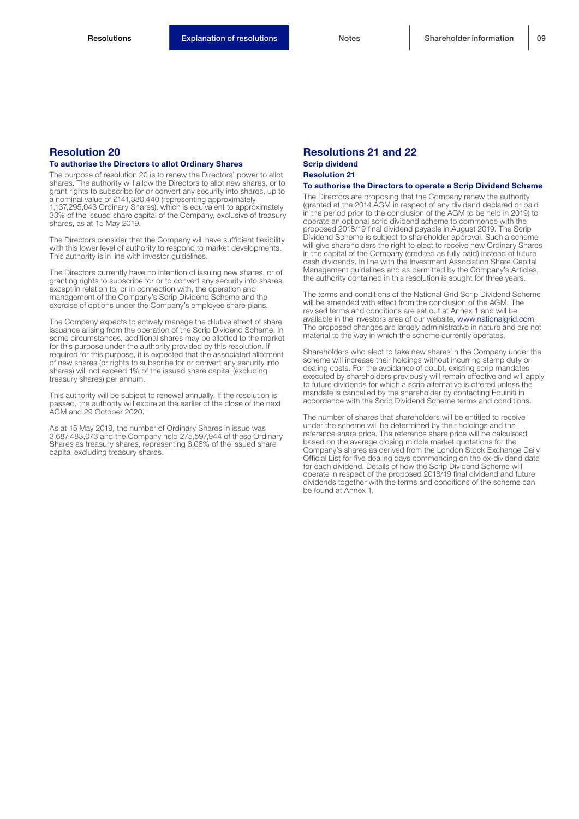### To authorise the Directors to allot Ordinary Shares

The purpose of resolution 20 is to renew the Directors' power to allot shares. The authority will allow the Directors to allot new shares, or to grant rights to subscribe for or convert any security into shares, up to a nominal value of £141,380,440 (representing approximately 1,137,295,043 Ordinary Shares), which is equivalent to approximately 33% of the issued share capital of the Company, exclusive of treasury shares, as at 15 May 2019.

The Directors consider that the Company will have sufficient flexibility with this lower level of authority to respond to market developments. This authority is in line with investor guidelines.

The Directors currently have no intention of issuing new shares, or of granting rights to subscribe for or to convert any security into shares, except in relation to, or in connection with, the operation and management of the Company's Scrip Dividend Scheme and the exercise of options under the Company's employee share plans.

The Company expects to actively manage the dilutive effect of share issuance arising from the operation of the Scrip Dividend Scheme. In some circumstances, additional shares may be allotted to the market for this purpose under the authority provided by this resolution. If required for this purpose, it is expected that the associated allotment of new shares (or rights to subscribe for or convert any security into shares) will not exceed 1% of the issued share capital (excluding treasury shares) per annum.

This authority will be subject to renewal annually. If the resolution is passed, the authority will expire at the earlier of the close of the next AGM and 29 October 2020.

As at 15 May 2019, the number of Ordinary Shares in issue was 3,687,483,073 and the Company held 275,597,944 of these Ordinary Shares as treasury shares, representing 8.08% of the issued share capital excluding treasury shares.

### Resolutions 21 and 22 Scrip dividend Resolution 21

#### To authorise the Directors to operate a Scrip Dividend Scheme

The Directors are proposing that the Company renew the authority (granted at the 2014 AGM in respect of any dividend declared or paid in the period prior to the conclusion of the AGM to be held in 2019) to operate an optional scrip dividend scheme to commence with the proposed 2018/19 final dividend payable in August 2019. The Scrip Dividend Scheme is subject to shareholder approval. Such a scheme will give shareholders the right to elect to receive new Ordinary Shares in the capital of the Company (credited as fully paid) instead of future cash dividends. In line with the Investment Association Share Capital Management guidelines and as permitted by the Company's Articles, the authority contained in this resolution is sought for three years.

The terms and conditions of the National Grid Scrip Dividend Scheme will be amended with effect from the conclusion of the AGM. The revised terms and conditions are set out at Annex 1 and will be available in the Investors area of our website, www.nationalgrid.com. The proposed changes are largely administrative in nature and are not material to the way in which the scheme currently operates.

Shareholders who elect to take new shares in the Company under the scheme will increase their holdings without incurring stamp duty or dealing costs. For the avoidance of doubt, existing scrip mandates executed by shareholders previously will remain effective and will apply to future dividends for which a scrip alternative is offered unless the mandate is cancelled by the shareholder by contacting Equiniti in accordance with the Scrip Dividend Scheme terms and conditions.

The number of shares that shareholders will be entitled to receive under the scheme will be determined by their holdings and the reference share price. The reference share price will be calculated based on the average closing middle market quotations for the Company's shares as derived from the London Stock Exchange Daily Official List for five dealing days commencing on the ex-dividend date for each dividend. Details of how the Scrip Dividend Scheme will operate in respect of the proposed 2018/19 final dividend and future dividends together with the terms and conditions of the scheme can be found at Annex 1.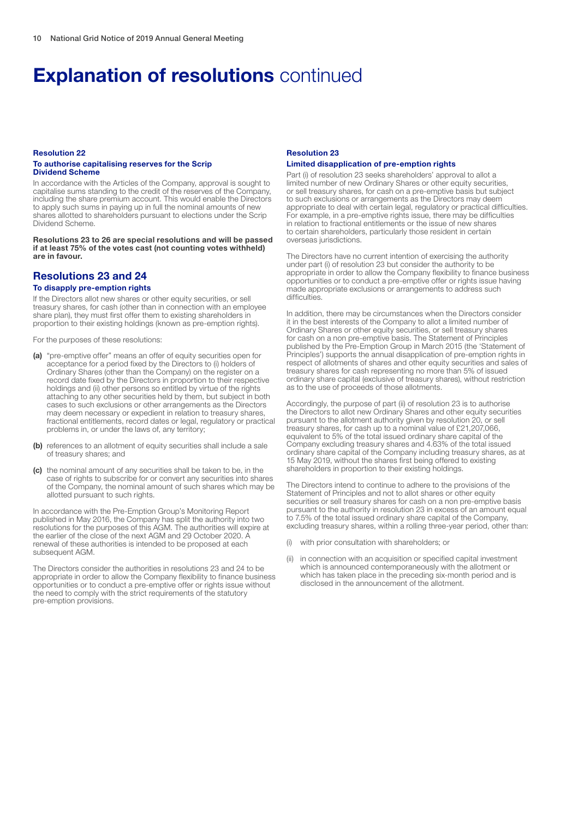# **Explanation of resolutions continued**

#### Resolution 22 To authorise capitalising reserves for the Scrip Dividend Scheme

In accordance with the Articles of the Company, approval is sought to capitalise sums standing to the credit of the reserves of the Company, including the share premium account. This would enable the Directors to apply such sums in paying up in full the nominal amounts of new shares allotted to shareholders pursuant to elections under the Scrip Dividend Scheme.

Resolutions 23 to 26 are special resolutions and will be passed if at least 75% of the votes cast (not counting votes withheld) are in favour.

# Resolutions 23 and 24

# To disapply pre-emption rights

If the Directors allot new shares or other equity securities, or sell treasury shares, for cash (other than in connection with an employee share plan), they must first offer them to existing shareholders in proportion to their existing holdings (known as pre-emption rights).

For the purposes of these resolutions:

- (a) "pre-emptive offer" means an offer of equity securities open for acceptance for a period fixed by the Directors to (i) holders of Ordinary Shares (other than the Company) on the register on a record date fixed by the Directors in proportion to their respective holdings and (ii) other persons so entitled by virtue of the rights attaching to any other securities held by them, but subject in both cases to such exclusions or other arrangements as the Directors may deem necessary or expedient in relation to treasury shares, fractional entitlements, record dates or legal, regulatory or practical problems in, or under the laws of, any territory;
- (b) references to an allotment of equity securities shall include a sale of treasury shares; and
- (c) the nominal amount of any securities shall be taken to be, in the case of rights to subscribe for or convert any securities into shares of the Company, the nominal amount of such shares which may be allotted pursuant to such rights.

In accordance with the Pre-Emption Group's Monitoring Report published in May 2016, the Company has split the authority into two resolutions for the purposes of this AGM. The authorities will expire at the earlier of the close of the next AGM and 29 October 2020. A renewal of these authorities is intended to be proposed at each subsequent AGM.

The Directors consider the authorities in resolutions 23 and 24 to be appropriate in order to allow the Company flexibility to finance business opportunities or to conduct a pre-emptive offer or rights issue without the need to comply with the strict requirements of the statutory pre-emption provisions.

## Resolution 23 Limited disapplication of pre-emption rights

Part (i) of resolution 23 seeks shareholders' approval to allot a limited number of new Ordinary Shares or other equity securities, or sell treasury shares, for cash on a pre-emptive basis but subject to such exclusions or arrangements as the Directors may deem appropriate to deal with certain legal, regulatory or practical difficulties. For example, in a pre-emptive rights issue, there may be difficulties in relation to fractional entitlements or the issue of new shares to certain shareholders, particularly those resident in certain overseas jurisdictions.

The Directors have no current intention of exercising the authority under part (i) of resolution 23 but consider the authority to be appropriate in order to allow the Company flexibility to finance business opportunities or to conduct a pre-emptive offer or rights issue having made appropriate exclusions or arrangements to address such difficulties

In addition, there may be circumstances when the Directors consider it in the best interests of the Company to allot a limited number of Ordinary Shares or other equity securities, or sell treasury shares for cash on a non pre-emptive basis. The Statement of Principles published by the Pre-Emption Group in March 2015 (the 'Statement of Principles') supports the annual disapplication of pre-emption rights in respect of allotments of shares and other equity securities and sales of treasury shares for cash representing no more than 5% of issued ordinary share capital (exclusive of treasury shares), without restriction as to the use of proceeds of those allotments.

Accordingly, the purpose of part (ii) of resolution 23 is to authorise the Directors to allot new Ordinary Shares and other equity securities pursuant to the allotment authority given by resolution 20, or sell treasury shares, for cash up to a nominal value of £21,207,066, equivalent to 5% of the total issued ordinary share capital of the Company excluding treasury shares and 4.63% of the total issued ordinary share capital of the Company including treasury shares, as at 15 May 2019, without the shares first being offered to existing shareholders in proportion to their existing holdings.

The Directors intend to continue to adhere to the provisions of the Statement of Principles and not to allot shares or other equity securities or sell treasury shares for cash on a non pre-emptive basis pursuant to the authority in resolution 23 in excess of an amount equal to 7.5% of the total issued ordinary share capital of the Company, excluding treasury shares, within a rolling three-year period, other than:

- with prior consultation with shareholders; or
- in connection with an acquisition or specified capital investment which is announced contemporaneously with the allotment or which has taken place in the preceding six-month period and is disclosed in the announcement of the allotment.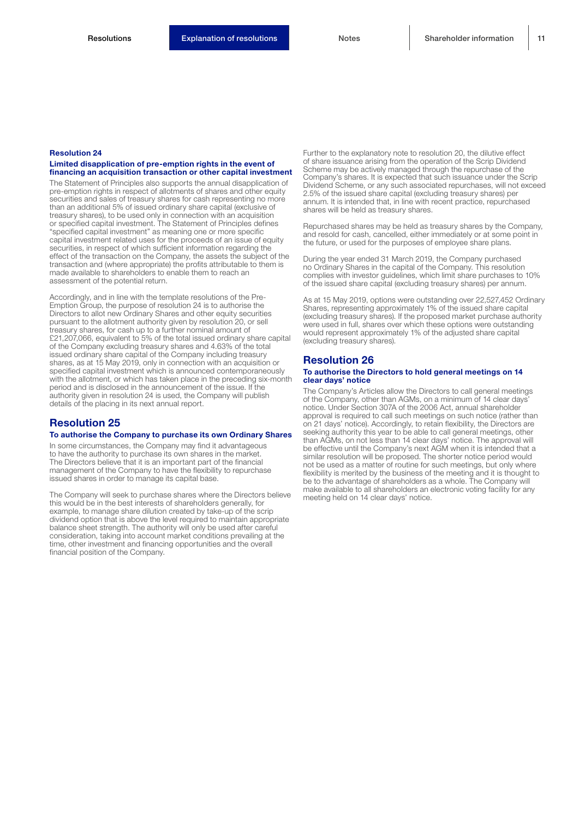#### Limited disapplication of pre-emption rights in the event of financing an acquisition transaction or other capital investment

The Statement of Principles also supports the annual disapplication of pre-emption rights in respect of allotments of shares and other equity securities and sales of treasury shares for cash representing no more than an additional 5% of issued ordinary share capital (exclusive of treasury shares), to be used only in connection with an acquisition or specified capital investment. The Statement of Principles defines "specified capital investment" as meaning one or more specific capital investment related uses for the proceeds of an issue of equity securities, in respect of which sufficient information regarding the effect of the transaction on the Company, the assets the subject of the transaction and (where appropriate) the profits attributable to them is made available to shareholders to enable them to reach an assessment of the potential return.

Accordingly, and in line with the template resolutions of the Pre-Emption Group, the purpose of resolution 24 is to authorise the Directors to allot new Ordinary Shares and other equity securities pursuant to the allotment authority given by resolution 20, or sell treasury shares, for cash up to a further nominal amount of £21,207,066, equivalent to 5% of the total issued ordinary share capital of the Company excluding treasury shares and 4.63% of the total issued ordinary share capital of the Company including treasury shares, as at 15 May 2019, only in connection with an acquisition or specified capital investment which is announced contemporaneously with the allotment, or which has taken place in the preceding six-month period and is disclosed in the announcement of the issue. If the authority given in resolution 24 is used, the Company will publish details of the placing in its next annual report.

# Resolution 25

#### To authorise the Company to purchase its own Ordinary Shares

In some circumstances, the Company may find it advantageous to have the authority to purchase its own shares in the market. The Directors believe that it is an important part of the financial management of the Company to have the flexibility to repurchase issued shares in order to manage its capital base.

The Company will seek to purchase shares where the Directors believe this would be in the best interests of shareholders generally, for example, to manage share dilution created by take-up of the scrip dividend option that is above the level required to maintain appropriate balance sheet strength. The authority will only be used after careful consideration, taking into account market conditions prevailing at the time, other investment and financing opportunities and the overall financial position of the Company.

Further to the explanatory note to resolution 20, the dilutive effect of share issuance arising from the operation of the Scrip Dividend Scheme may be actively managed through the repurchase of the Company's shares. It is expected that such issuance under the Scrip Dividend Scheme, or any such associated repurchases, will not exceed 2.5% of the issued share capital (excluding treasury shares) per annum. It is intended that, in line with recent practice, repurchased shares will be held as treasury shares.

Repurchased shares may be held as treasury shares by the Company, and resold for cash, cancelled, either immediately or at some point in the future, or used for the purposes of employee share plans.

During the year ended 31 March 2019, the Company purchased no Ordinary Shares in the capital of the Company. This resolution complies with investor guidelines, which limit share purchases to 10% of the issued share capital (excluding treasury shares) per annum.

As at 15 May 2019, options were outstanding over 22,527,452 Ordinary Shares, representing approximately 1% of the issued share capital (excluding treasury shares). If the proposed market purchase authority were used in full, shares over which these options were outstanding would represent approximately 1% of the adjusted share capital (excluding treasury shares).

### Resolution 26

#### To authorise the Directors to hold general meetings on 14 clear days' notice

The Company's Articles allow the Directors to call general meetings of the Company, other than AGMs, on a minimum of 14 clear days' notice. Under Section 307A of the 2006 Act, annual shareholder approval is required to call such meetings on such notice (rather than on 21 days' notice). Accordingly, to retain flexibility, the Directors are seeking authority this year to be able to call general meetings, other than AGMs, on not less than 14 clear days' notice. The approval will be effective until the Company's next AGM when it is intended that a similar resolution will be proposed. The shorter notice period would not be used as a matter of routine for such meetings, but only where flexibility is merited by the business of the meeting and it is thought to be to the advantage of shareholders as a whole. The Company will make available to all shareholders an electronic voting facility for any meeting held on 14 clear days' notice.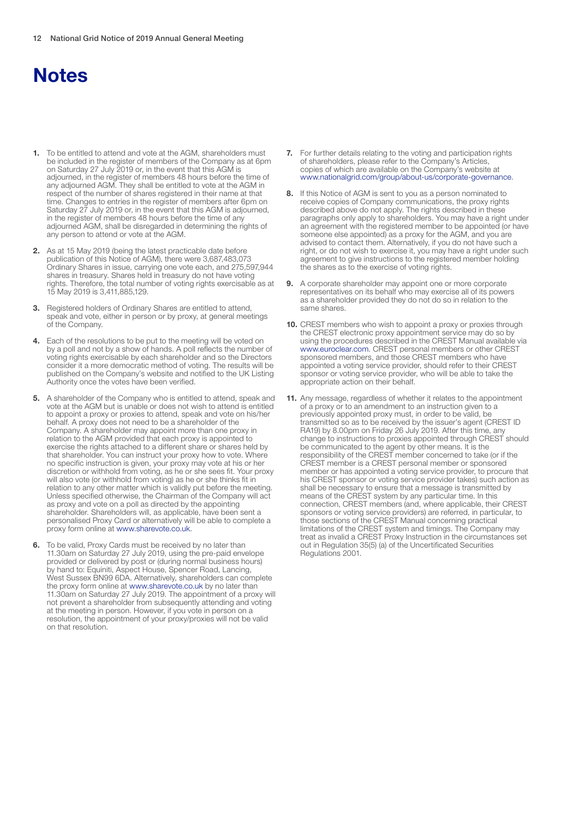# **Notes**

- To be entitled to attend and vote at the AGM, shareholders must be included in the register of members of the Company as at 6pm on Saturday 27 July 2019 or, in the event that this AGM is adjourned, in the register of members 48 hours before the time of any adjourned AGM. They shall be entitled to vote at the AGM in respect of the number of shares registered in their name at that time. Changes to entries in the register of members after 6pm on Saturday 27 July 2019 or, in the event that this AGM is adjourned, in the register of members 48 hours before the time of any adjourned AGM, shall be disregarded in determining the rights of any person to attend or vote at the AGM.
- 2. As at 15 May 2019 (being the latest practicable date before publication of this Notice of AGM), there were 3,687,483,073 Ordinary Shares in issue, carrying one vote each, and 275,597,944 shares in treasury. Shares held in treasury do not have voting rights. Therefore, the total number of voting rights exercisable as at 15 May 2019 is 3,411,885,129.
- 3. Registered holders of Ordinary Shares are entitled to attend, speak and vote, either in person or by proxy, at general meetings of the Company.
- 4. Each of the resolutions to be put to the meeting will be voted on by a poll and not by a show of hands. A poll reflects the number of voting rights exercisable by each shareholder and so the Directors consider it a more democratic method of voting. The results will be published on the Company's website and notified to the UK Listing Authority once the votes have been verified.
- 5. A shareholder of the Company who is entitled to attend, speak and vote at the AGM but is unable or does not wish to attend is entitled to appoint a proxy or proxies to attend, speak and vote on his/her behalf. A proxy does not need to be a shareholder of the Company. A shareholder may appoint more than one proxy in relation to the AGM provided that each proxy is appointed to exercise the rights attached to a different share or shares held by that shareholder. You can instruct your proxy how to vote. Where no specific instruction is given, your proxy may vote at his or her discretion or withhold from voting, as he or she sees fit. Your proxy will also vote (or withhold from voting) as he or she thinks fit in relation to any other matter which is validly put before the meeting. Unless specified otherwise, the Chairman of the Company will act as proxy and vote on a poll as directed by the appointing shareholder. Shareholders will, as applicable, have been sent a personalised Proxy Card or alternatively will be able to complete a proxy form online at www.sharevote.co.uk.
- **6.** To be valid, Proxy Cards must be received by no later than 11.30am on Saturday 27 July 2019, using the pre-paid envelope provided or delivered by post or (during normal business hours) by hand to: Equiniti, Aspect House, Spencer Road, Lancing, West Sussex BN99 6DA. Alternatively, shareholders can complete the proxy form online at www.sharevote.co.uk by no later than 11.30am on Saturday 27 July 2019. The appointment of a proxy will not prevent a shareholder from subsequently attending and voting at the meeting in person. However, if you vote in person on a resolution, the appointment of your proxy/proxies will not be valid on that resolution.
- 7. For further details relating to the voting and participation rights of shareholders, please refer to the Company's Articles, copies of which are available on the Company's website at www.nationalgrid.com/group/about-us/corporate-governance.
- 8. If this Notice of AGM is sent to you as a person nominated to receive copies of Company communications, the proxy rights described above do not apply. The rights described in these paragraphs only apply to shareholders. You may have a right under an agreement with the registered member to be appointed (or have someone else appointed) as a proxy for the AGM, and you are advised to contact them. Alternatively, if you do not have such a right, or do not wish to exercise it, you may have a right under such agreement to give instructions to the registered member holding the shares as to the exercise of voting rights.
- 9. A corporate shareholder may appoint one or more corporate representatives on its behalf who may exercise all of its powers as a shareholder provided they do not do so in relation to the same shares.
- 10. CREST members who wish to appoint a proxy or proxies through the CREST electronic proxy appointment service may do so by using the procedures described in the CREST Manual available via www.euroclear.com. CREST personal members or other CREST sponsored members, and those CREST members who have appointed a voting service provider, should refer to their CREST sponsor or voting service provider, who will be able to take the appropriate action on their behalf.
- 11. Any message, regardless of whether it relates to the appointment of a proxy or to an amendment to an instruction given to a previously appointed proxy must, in order to be valid, be transmitted so as to be received by the issuer's agent (CREST ID RA19) by 8.00pm on Friday 26 July 2019. After this time, any change to instructions to proxies appointed through CREST should be communicated to the agent by other means. It is the responsibility of the CREST member concerned to take (or if the CREST member is a CREST personal member or sponsored member or has appointed a voting service provider, to procure that his CREST sponsor or voting service provider takes) such action as shall be necessary to ensure that a message is transmitted by means of the CREST system by any particular time. In this connection, CREST members (and, where applicable, their CREST sponsors or voting service providers) are referred, in particular, to those sections of the CREST Manual concerning practical limitations of the CREST system and timings. The Company may treat as invalid a CREST Proxy Instruction in the circumstances set out in Regulation 35(5) (a) of the Uncertificated Securities Regulations 2001.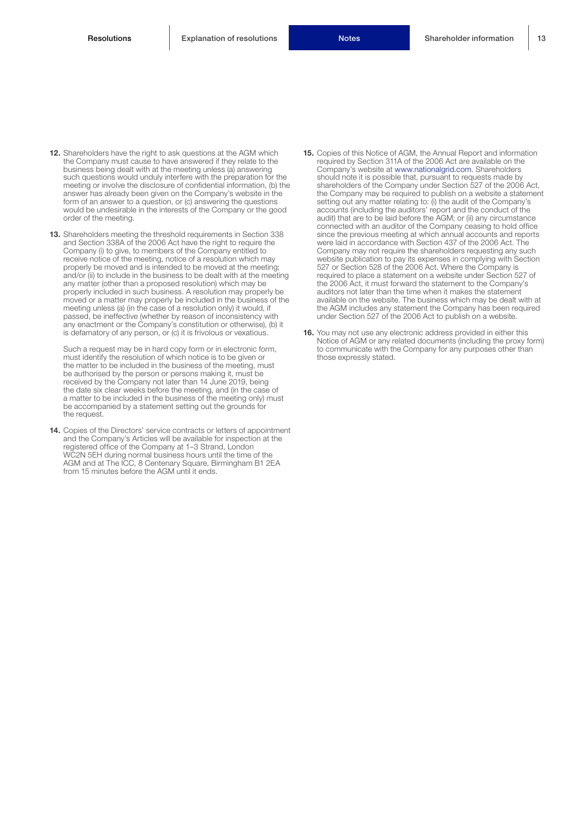- 12. Shareholders have the right to ask questions at the AGM which the Company must cause to have answered if they relate to the business being dealt with at the meeting unless (a) answering such questions would unduly interfere with the preparation for the meeting or involve the disclosure of confidential information, (b) the answer has already been given on the Company's website in the form of an answer to a question, or (c) answering the questions would be undesirable in the interests of the Company or the good order of the meeting.
- 13. Shareholders meeting the threshold requirements in Section 338 and Section 338A of the 2006 Act have the right to require the Company (i) to give, to members of the Company entitled to receive notice of the meeting, notice of a resolution which may properly be moved and is intended to be moved at the meeting and/or (ii) to include in the business to be dealt with at the meeting any matter (other than a proposed resolution) which may be properly included in such business. A resolution may properly be moved or a matter may properly be included in the business of the meeting unless (a) (in the case of a resolution only) it would, if passed, be ineffective (whether by reason of inconsistency with any enactment or the Company's constitution or otherwise), (b) it is defamatory of any person, or (c) it is frivolous or vexatious.

Such a request may be in hard copy form or in electronic form, must identify the resolution of which notice is to be given or the matter to be included in the business of the meeting, must be authorised by the person or persons making it, must be received by the Company not later than 14 June 2019, being the date six clear weeks before the meeting, and (in the case of a matter to be included in the business of the meeting only) must be accompanied by a statement setting out the grounds for the request.

14. Copies of the Directors' service contracts or letters of appointment and the Company's Articles will be available for inspection at the registered office of the Company at 1–3 Strand, London WC2N 5EH during normal business hours until the time of the AGM and at The ICC, 8 Centenary Square, Birmingham B1 2EA from 15 minutes before the AGM until it ends.

- 15. Copies of this Notice of AGM, the Annual Report and information required by Section 311A of the 2006 Act are available on the Company's website at www.nationalgrid.com. Shareholders should note it is possible that, pursuant to requests made by shareholders of the Company under Section 527 of the 2006 Act, the Company may be required to publish on a website a statement setting out any matter relating to: (i) the audit of the Company's accounts (including the auditors' report and the conduct of the audit) that are to be laid before the AGM; or (ii) any circumstance connected with an auditor of the Company ceasing to hold office since the previous meeting at which annual accounts and reports were laid in accordance with Section 437 of the 2006 Act. The Company may not require the shareholders requesting any such website publication to pay its expenses in complying with Section 527 or Section 528 of the 2006 Act. Where the Company is required to place a statement on a website under Section 527 of the 2006 Act, it must forward the statement to the Company's auditors not later than the time when it makes the statement available on the website. The business which may be dealt with at the AGM includes any statement the Company has been required under Section 527 of the 2006 Act to publish on a website.
- 16. You may not use any electronic address provided in either this Notice of AGM or any related documents (including the proxy form) to communicate with the Company for any purposes other than those expressly stated.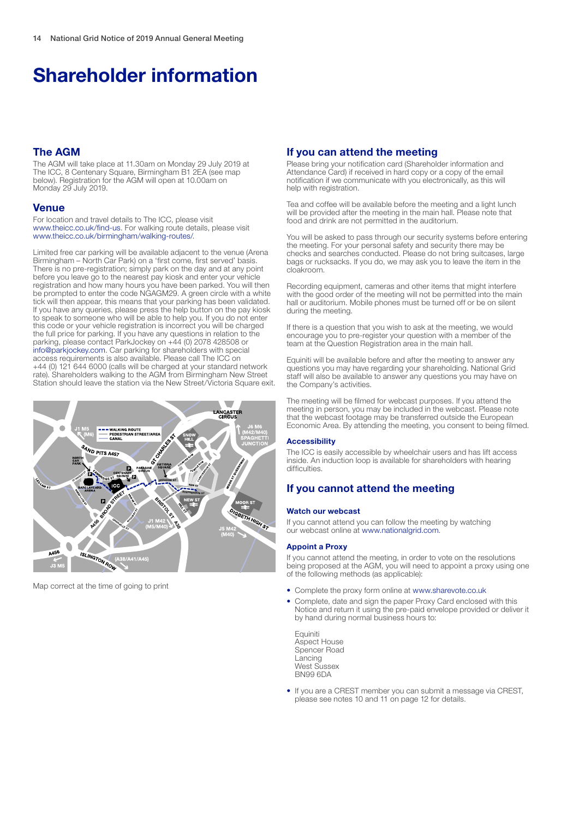# Shareholder information

# The AGM

The AGM will take place at 11.30am on Monday 29 July 2019 at The ICC, 8 Centenary Square, Birmingham B1 2EA (see map below). Registration for the AGM will open at 10.00am on Monday 29 July 2019.

## Venue

For location and travel details to The ICC, please visit www.theicc.co.uk/find-us. For walking route details, please visit www.theicc.co.uk/birmingham/walking-routes/.

Limited free car parking will be available adjacent to the venue (Arena Birmingham – North Car Park) on a 'first come, first served' basis. There is no pre-registration; simply park on the day and at any point before you leave go to the nearest pay kiosk and enter your vehicle registration and how many hours you have been parked. You will then be prompted to enter the code NGAGM29. A green circle with a white tick will then appear, this means that your parking has been validated. If you have any queries, please press the help button on the pay kiosk to speak to someone who will be able to help you. If you do not enter this code or your vehicle registration is incorrect you will be charged the full price for parking. If you have any questions in relation to the parking, please contact ParkJockey on +44 (0) 2078 428508 or info@parkjockey.com. Car parking for shareholders with special access requirements is also available. Please call The ICC on +44 (0) 121 644 6000 (calls will be charged at your standard network rate). Shareholders walking to the AGM from Birmingham New Street Station should leave the station via the New Street/Victoria Square exit.



Map correct at the time of going to print

## If you can attend the meeting

Please bring your notification card (Shareholder information and Attendance Card) if received in hard copy or a copy of the email notification if we communicate with you electronically, as this will help with registration.

Tea and coffee will be available before the meeting and a light lunch will be provided after the meeting in the main hall. Please note that food and drink are not permitted in the auditorium.

You will be asked to pass through our security systems before entering the meeting. For your personal safety and security there may be checks and searches conducted. Please do not bring suitcases, large bags or rucksacks. If you do, we may ask you to leave the item in the cloakroom.

Recording equipment, cameras and other items that might interfere with the good order of the meeting will not be permitted into the main hall or auditorium. Mobile phones must be turned off or be on silent during the meeting.

If there is a question that you wish to ask at the meeting, we would encourage you to pre-register your question with a member of the team at the Question Registration area in the main hall.

Equiniti will be available before and after the meeting to answer any questions you may have regarding your shareholding. National Grid staff will also be available to answer any questions you may have on the Company's activities.

The meeting will be filmed for webcast purposes. If you attend the meeting in person, you may be included in the webcast. Please note that the webcast footage may be transferred outside the European Economic Area. By attending the meeting, you consent to being filmed.

#### **Accessibility**

The ICC is easily accessible by wheelchair users and has lift access inside. An induction loop is available for shareholders with hearing difficulties.

# If you cannot attend the meeting

#### Watch our webcast

If you cannot attend you can follow the meeting by watching our webcast online at www.nationalgrid.com.

#### Appoint a Proxy

If you cannot attend the meeting, in order to vote on the resolutions being proposed at the AGM, you will need to appoint a proxy using one of the following methods (as applicable):

- Complete the proxy form online at www.sharevote.co.uk
- Complete, date and sign the paper Proxy Card enclosed with this Notice and return it using the pre-paid envelope provided or deliver it by hand during normal business hours to:
	- Equiniti Aspect House Spencer Road Lancing West Sussex BN99 6DA
- If you are a CREST member you can submit a message via CREST, please see notes 10 and 11 on page 12 for details.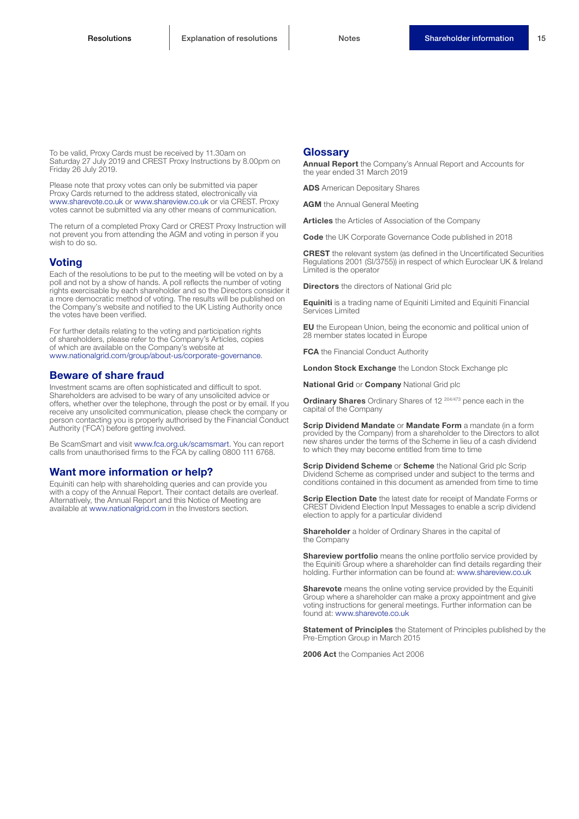To be valid, Proxy Cards must be received by 11.30am on Saturday 27 July 2019 and CREST Proxy Instructions by 8.00pm on Friday 26 July 2019.

Please note that proxy votes can only be submitted via paper Proxy Cards returned to the address stated, electronically via www.sharevote.co.uk or www.shareview.co.uk or via CREST. Proxy votes cannot be submitted via any other means of communication.

The return of a completed Proxy Card or CREST Proxy Instruction will not prevent you from attending the AGM and voting in person if you wish to do so.

### **Voting**

Each of the resolutions to be put to the meeting will be voted on by a poll and not by a show of hands. A poll reflects the number of voting rights exercisable by each shareholder and so the Directors consider it a more democratic method of voting. The results will be published on the Company's website and notified to the UK Listing Authority once the votes have been verified.

For further details relating to the voting and participation rights of shareholders, please refer to the Company's Articles, copies of which are available on the Company's website at www.nationalgrid.com/group/about-us/corporate-governance.

#### Beware of share fraud

Investment scams are often sophisticated and difficult to spot. Shareholders are advised to be wary of any unsolicited advice or offers, whether over the telephone, through the post or by email. If you receive any unsolicited communication, please check the company or person contacting you is properly authorised by the Financial Conduct Authority ('FCA') before getting involved.

Be ScamSmart and visit www.fca.org.uk/scamsmart. You can report calls from unauthorised firms to the FCA by calling 0800 111 6768.

### Want more information or help?

Equiniti can help with shareholding queries and can provide you with a copy of the Annual Report. Their contact details are overleaf. Alternatively, the Annual Report and this Notice of Meeting are available at www.nationalgrid.com in the Investors section.

### **Glossarv**

Annual Report the Company's Annual Report and Accounts for the year ended 31 March 2019

ADS American Depositary Shares

**AGM** the Annual General Meeting

Articles the Articles of Association of the Company

Code the UK Corporate Governance Code published in 2018

CREST the relevant system (as defined in the Uncertificated Securities Regulations 2001 (SI/3755)) in respect of which Euroclear UK & Ireland Limited is the operator

**Directors** the directors of National Grid plc

Equiniti is a trading name of Equiniti Limited and Equiniti Financial Services Limited

EU the European Union, being the economic and political union of 28 member states located in Europe

**FCA** the Financial Conduct Authority

London Stock Exchange the London Stock Exchange plc

**National Grid or Company National Grid plc** 

**Ordinary Shares** Ordinary Shares of 12<sup>204/473</sup> pence each in the capital of the Company

Scrip Dividend Mandate or Mandate Form a mandate (in a form provided by the Company) from a shareholder to the Directors to allot new shares under the terms of the Scheme in lieu of a cash dividend to which they may become entitled from time to time

**Scrip Dividend Scheme or Scheme** the National Grid plc Scrip Dividend Scheme as comprised under and subject to the terms and conditions contained in this document as amended from time to time

**Scrip Election Date** the latest date for receipt of Mandate Forms or CREST Dividend Election Input Messages to enable a scrip dividend election to apply for a particular dividend

**Shareholder** a holder of Ordinary Shares in the capital of the Company

Shareview portfolio means the online portfolio service provided by the Equiniti Group where a shareholder can find details regarding their holding. Further information can be found at: www.shareview.co.uk

Sharevote means the online voting service provided by the Equiniti Group where a shareholder can make a proxy appointment and give voting instructions for general meetings. Further information can be found at: www.sharevote.co.uk

Statement of Principles the Statement of Principles published by the Pre-Emption Group in March 2015

2006 Act the Companies Act 2006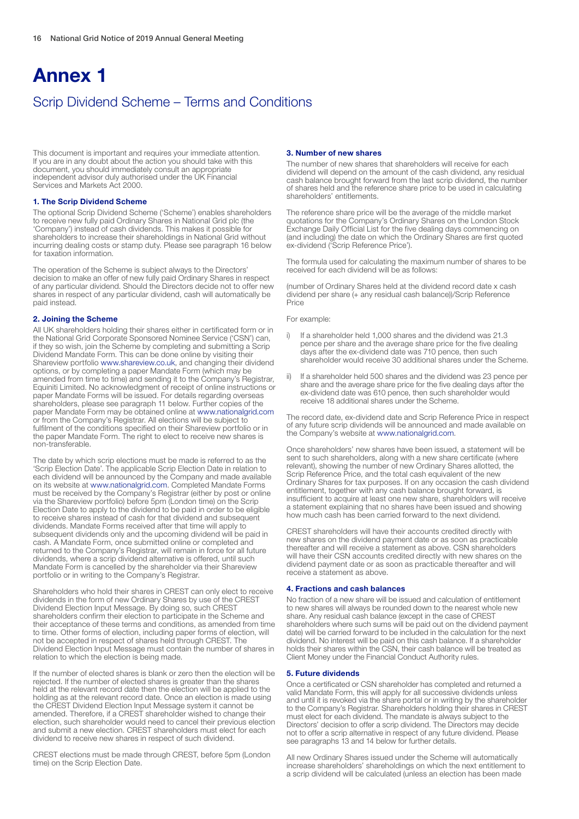# Annex 1

# Scrip Dividend Scheme – Terms and Conditions

This document is important and requires your immediate attention. If you are in any doubt about the action you should take with this document, you should immediately consult an appropriate independent advisor duly authorised under the UK Financial Services and Markets Act 2000.

#### 1. The Scrip Dividend Scheme

The optional Scrip Dividend Scheme ('Scheme') enables shareholders to receive new fully paid Ordinary Shares in National Grid plc (the 'Company') instead of cash dividends. This makes it possible for shareholders to increase their shareholdings in National Grid without incurring dealing costs or stamp duty. Please see paragraph 16 below for taxation information.

The operation of the Scheme is subject always to the Directors' decision to make an offer of new fully paid Ordinary Shares in respect of any particular dividend. Should the Directors decide not to offer new shares in respect of any particular dividend, cash will automatically be paid instead.

#### 2. Joining the Scheme

All UK shareholders holding their shares either in certificated form or in the National Grid Corporate Sponsored Nominee Service ('CSN') can, if they so wish, join the Scheme by completing and submitting a Scrip Dividend Mandate Form. This can be done online by visiting their Shareview portfolio www.shareview.co.uk, and changing their dividend options, or by completing a paper Mandate Form (which may be amended from time to time) and sending it to the Company's Registrar, Equiniti Limited. No acknowledgment of receipt of online instructions or paper Mandate Forms will be issued. For details regarding overseas shareholders, please see paragraph 11 below. Further copies of the paper Mandate Form may be obtained online at www.nationalgrid.com or from the Company's Registrar. All elections will be subject to fulfilment of the conditions specified on their Shareview portfolio or in the paper Mandate Form. The right to elect to receive new shares is non-transferable.

The date by which scrip elections must be made is referred to as the 'Scrip Election Date'. The applicable Scrip Election Date in relation to each dividend will be announced by the Company and made available on its website at www.nationalgrid.com. Completed Mandate Forms must be received by the Company's Registrar (either by post or online via the Shareview portfolio) before 5pm (London time) on the Scrip Election Date to apply to the dividend to be paid in order to be eligible to receive shares instead of cash for that dividend and subsequent dividends. Mandate Forms received after that time will apply to subsequent dividends only and the upcoming dividend will be paid in cash. A Mandate Form, once submitted online or completed and returned to the Company's Registrar, will remain in force for all future dividends, where a scrip dividend alternative is offered, until such Mandate Form is cancelled by the shareholder via their Shareview portfolio or in writing to the Company's Registrar.

Shareholders who hold their shares in CREST can only elect to receive dividends in the form of new Ordinary Shares by use of the CREST Dividend Election Input Message. By doing so, such CREST shareholders confirm their election to participate in the Scheme and their acceptance of these terms and conditions, as amended from time to time. Other forms of election, including paper forms of election, will not be accepted in respect of shares held through CREST. The Dividend Election Input Message must contain the number of shares in relation to which the election is being made.

If the number of elected shares is blank or zero then the election will be rejected. If the number of elected shares is greater than the shares held at the relevant record date then the election will be applied to the holding as at the relevant record date. Once an election is made using the CREST Dividend Election Input Message system it cannot be amended. Therefore, if a CREST shareholder wished to change their election, such shareholder would need to cancel their previous election and submit a new election. CREST shareholders must elect for each dividend to receive new shares in respect of such dividend.

CREST elections must be made through CREST, before 5pm (London time) on the Scrip Election Date.

#### 3. Number of new shares

The number of new shares that shareholders will receive for each dividend will depend on the amount of the cash dividend, any residual cash balance brought forward from the last scrip dividend, the number of shares held and the reference share price to be used in calculating shareholders' entitlements.

The reference share price will be the average of the middle market quotations for the Company's Ordinary Shares on the London Stock Exchange Daily Official List for the five dealing days commencing on (and including) the date on which the Ordinary Shares are first quoted ex-dividend ('Scrip Reference Price').

The formula used for calculating the maximum number of shares to be received for each dividend will be as follows:

(number of Ordinary Shares held at the dividend record date x cash dividend per share (+ any residual cash balance))/Scrip Reference Price

#### For example:

- i) If a shareholder held 1,000 shares and the dividend was 21.3 pence per share and the average share price for the five dealing days after the ex-dividend date was 710 pence, then such shareholder would receive 30 additional shares under the Scheme.
- ii) If a shareholder held 500 shares and the dividend was 23 pence per share and the average share price for the five dealing days after the ex-dividend date was 610 pence, then such shareholder would receive 18 additional shares under the Scheme.

The record date, ex-dividend date and Scrip Reference Price in respect of any future scrip dividends will be announced and made available on the Company's website at www.nationalgrid.com.

Once shareholders' new shares have been issued, a statement will be sent to such shareholders, along with a new share certificate (where relevant), showing the number of new Ordinary Shares allotted, the Scrip Reference Price, and the total cash equivalent of the new Ordinary Shares for tax purposes. If on any occasion the cash dividend entitlement, together with any cash balance brought forward, is insufficient to acquire at least one new share, shareholders will receive a statement explaining that no shares have been issued and showing how much cash has been carried forward to the next dividend.

CREST shareholders will have their accounts credited directly with new shares on the dividend payment date or as soon as practicable thereafter and will receive a statement as above. CSN shareholders will have their CSN accounts credited directly with new shares on the dividend payment date or as soon as practicable thereafter and will receive a statement as above.

#### 4. Fractions and cash balances

No fraction of a new share will be issued and calculation of entitlement to new shares will always be rounded down to the nearest whole new share. Any residual cash balance (except in the case of CREST shareholders where such sums will be paid out on the dividend payment date) will be carried forward to be included in the calculation for the next dividend. No interest will be paid on this cash balance. If a shareholder holds their shares within the CSN, their cash balance will be treated as Client Money under the Financial Conduct Authority rules.

#### 5. Future dividends

Once a certificated or CSN shareholder has completed and returned a valid Mandate Form, this will apply for all successive dividends unless and until it is revoked via the share portal or in writing by the shareholder to the Company's Registrar. Shareholders holding their shares in CREST must elect for each dividend. The mandate is always subject to the Directors' decision to offer a scrip dividend. The Directors may decide not to offer a scrip alternative in respect of any future dividend. Please see paragraphs 13 and 14 below for further details.

All new Ordinary Shares issued under the Scheme will automatically increase shareholders' shareholdings on which the next entitlement to a scrip dividend will be calculated (unless an election has been made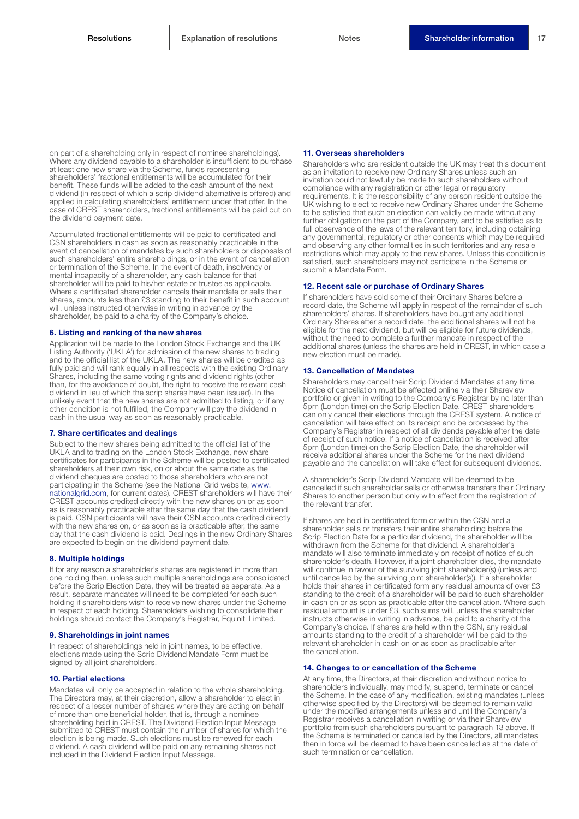on part of a shareholding only in respect of nominee shareholdings). Where any dividend payable to a shareholder is insufficient to purchase at least one new share via the Scheme, funds representing shareholders' fractional entitlements will be accumulated for their benefit. These funds will be added to the cash amount of the next dividend (in respect of which a scrip dividend alternative is offered) and applied in calculating shareholders' entitlement under that offer. In the case of CREST shareholders, fractional entitlements will be paid out on the dividend payment date.

Accumulated fractional entitlements will be paid to certificated and CSN shareholders in cash as soon as reasonably practicable in the event of cancellation of mandates by such shareholders or disposals of such shareholders' entire shareholdings, or in the event of cancellation or termination of the Scheme. In the event of death, insolvency or mental incapacity of a shareholder, any cash balance for that shareholder will be paid to his/her estate or trustee as applicable. Where a certificated shareholder cancels their mandate or sells their shares, amounts less than £3 standing to their benefit in such account will, unless instructed otherwise in writing in advance by the shareholder, be paid to a charity of the Company's choice.

#### 6. Listing and ranking of the new shares

Application will be made to the London Stock Exchange and the UK Listing Authority ('UKLA') for admission of the new shares to trading and to the official list of the UKLA. The new shares will be credited as fully paid and will rank equally in all respects with the existing Ordinary Shares, including the same voting rights and dividend rights (other than, for the avoidance of doubt, the right to receive the relevant cash dividend in lieu of which the scrip shares have been issued). In the unlikely event that the new shares are not admitted to listing, or if any other condition is not fulfilled, the Company will pay the dividend in cash in the usual way as soon as reasonably practicable.

#### 7. Share certificates and dealings

Subject to the new shares being admitted to the official list of the UKLA and to trading on the London Stock Exchange, new share certificates for participants in the Scheme will be posted to certificated shareholders at their own risk, on or about the same date as the dividend cheques are posted to those shareholders who are not participating in the Scheme (see the National Grid website, www. nationalgrid.com, for current dates). CREST shareholders will have their CREST accounts credited directly with the new shares on or as soon as is reasonably practicable after the same day that the cash dividend is paid. CSN participants will have their CSN accounts credited directly with the new shares on, or as soon as is practicable after, the same day that the cash dividend is paid. Dealings in the new Ordinary Shares are expected to begin on the dividend payment date.

#### 8. Multiple holdings

If for any reason a shareholder's shares are registered in more than one holding then, unless such multiple shareholdings are consolidated before the Scrip Election Date, they will be treated as separate. As a result, separate mandates will need to be completed for each such holding if shareholders wish to receive new shares under the Scheme in respect of each holding. Shareholders wishing to consolidate their holdings should contact the Company's Registrar, Equiniti Limited.

#### 9. Shareholdings in joint names

In respect of shareholdings held in joint names, to be effective, elections made using the Scrip Dividend Mandate Form must be signed by all joint shareholders.

#### 10. Partial elections

Mandates will only be accepted in relation to the whole shareholding. The Directors may, at their discretion, allow a shareholder to elect in respect of a lesser number of shares where they are acting on behalf of more than one beneficial holder, that is, through a nominee shareholding held in CREST. The Dividend Election Input Message submitted to CREST must contain the number of shares for which the election is being made. Such elections must be renewed for each dividend. A cash dividend will be paid on any remaining shares not included in the Dividend Election Input Message.

#### 11. Overseas shareholders

Shareholders who are resident outside the UK may treat this document as an invitation to receive new Ordinary Shares unless such an invitation could not lawfully be made to such shareholders without compliance with any registration or other legal or regulatory requirements. It is the responsibility of any person resident outside the UK wishing to elect to receive new Ordinary Shares under the Scheme to be satisfied that such an election can validly be made without any further obligation on the part of the Company, and to be satisfied as to full observance of the laws of the relevant territory, including obtaining any governmental, regulatory or other consents which may be required and observing any other formalities in such territories and any resale restrictions which may apply to the new shares. Unless this condition is satisfied, such shareholders may not participate in the Scheme or submit a Mandate Form.

#### 12. Recent sale or purchase of Ordinary Shares

If shareholders have sold some of their Ordinary Shares before a record date, the Scheme will apply in respect of the remainder of such shareholders' shares. If shareholders have bought any additional Ordinary Shares after a record date, the additional shares will not be eligible for the next dividend, but will be eligible for future dividends, without the need to complete a further mandate in respect of the additional shares (unless the shares are held in CREST, in which case a new election must be made).

#### 13. Cancellation of Mandates

Shareholders may cancel their Scrip Dividend Mandates at any time. Notice of cancellation must be effected online via their Shareview portfolio or given in writing to the Company's Registrar by no later than 5pm (London time) on the Scrip Election Date. CREST shareholders can only cancel their elections through the CREST system. A notice of cancellation will take effect on its receipt and be processed by the Company's Registrar in respect of all dividends payable after the date of receipt of such notice. If a notice of cancellation is received after 5pm (London time) on the Scrip Election Date, the shareholder will receive additional shares under the Scheme for the next dividend payable and the cancellation will take effect for subsequent dividends.

A shareholder's Scrip Dividend Mandate will be deemed to be cancelled if such shareholder sells or otherwise transfers their Ordinary Shares to another person but only with effect from the registration of the relevant transfer.

If shares are held in certificated form or within the CSN and a shareholder sells or transfers their entire shareholding before the Scrip Election Date for a particular dividend, the shareholder will be withdrawn from the Scheme for that dividend. A shareholder's mandate will also terminate immediately on receipt of notice of such shareholder's death. However, if a joint shareholder dies, the mandate will continue in favour of the surviving joint shareholder(s) (unless and until cancelled by the surviving joint shareholder(s)). If a shareholder holds their shares in certificated form any residual amounts of over £3 standing to the credit of a shareholder will be paid to such shareholder in cash on or as soon as practicable after the cancellation. Where such residual amount is under £3, such sums will, unless the shareholder instructs otherwise in writing in advance, be paid to a charity of the Company's choice. If shares are held within the CSN, any residual amounts standing to the credit of a shareholder will be paid to the relevant shareholder in cash on or as soon as practicable after the cancellation.

#### 14. Changes to or cancellation of the Scheme

At any time, the Directors, at their discretion and without notice to shareholders individually, may modify, suspend, terminate or cancel the Scheme. In the case of any modification, existing mandates (unless otherwise specified by the Directors) will be deemed to remain valid under the modified arrangements unless and until the Company's Registrar receives a cancellation in writing or via their Shareview portfolio from such shareholders pursuant to paragraph 13 above. If the Scheme is terminated or cancelled by the Directors, all mandates then in force will be deemed to have been cancelled as at the date of such termination or cancellation.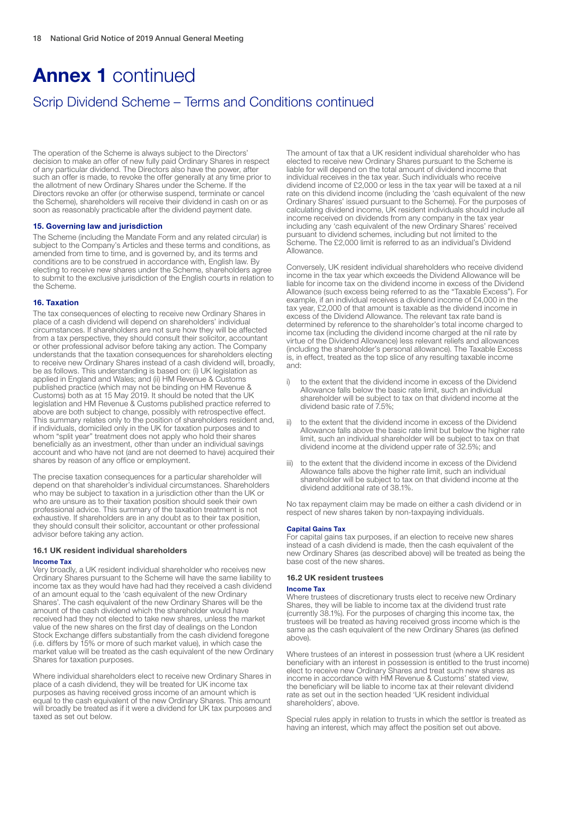# Annex 1 continued

# Scrip Dividend Scheme – Terms and Conditions continued

The operation of the Scheme is always subject to the Directors' decision to make an offer of new fully paid Ordinary Shares in respect of any particular dividend. The Directors also have the power, after such an offer is made, to revoke the offer generally at any time prior to the allotment of new Ordinary Shares under the Scheme. If the Directors revoke an offer (or otherwise suspend, terminate or cancel the Scheme), shareholders will receive their dividend in cash on or as soon as reasonably practicable after the dividend payment date.

#### 15. Governing law and jurisdiction

The Scheme (including the Mandate Form and any related circular) is subject to the Company's Articles and these terms and conditions, as amended from time to time, and is governed by, and its terms and conditions are to be construed in accordance with, English law. By electing to receive new shares under the Scheme, shareholders agree to submit to the exclusive jurisdiction of the English courts in relation to the Scheme.

#### 16. Taxation

The tax consequences of electing to receive new Ordinary Shares in place of a cash dividend will depend on shareholders' individual circumstances. If shareholders are not sure how they will be affected from a tax perspective, they should consult their solicitor, accountant or other professional advisor before taking any action. The Company understands that the taxation consequences for shareholders electing to receive new Ordinary Shares instead of a cash dividend will, broadly, be as follows. This understanding is based on: (i) UK legislation as applied in England and Wales; and (ii) HM Revenue & Customs published practice (which may not be binding on HM Revenue & Customs) both as at 15 May 2019. It should be noted that the UK legislation and HM Revenue & Customs published practice referred to above are both subject to change, possibly with retrospective effect. This summary relates only to the position of shareholders resident and, if individuals, domiciled only in the UK for taxation purposes and to whom "split year" treatment does not apply who hold their shares beneficially as an investment, other than under an individual savings account and who have not (and are not deemed to have) acquired their shares by reason of any office or employment.

The precise taxation consequences for a particular shareholder will depend on that shareholder's individual circumstances. Shareholders who may be subject to taxation in a jurisdiction other than the UK or who are unsure as to their taxation position should seek their own professional advice. This summary of the taxation treatment is not exhaustive. If shareholders are in any doubt as to their tax position. they should consult their solicitor, accountant or other professional advisor before taking any action.

#### 16.1 UK resident individual shareholders

#### Income Tax

Very broadly, a UK resident individual shareholder who receives new Ordinary Shares pursuant to the Scheme will have the same liability to income tax as they would have had had they received a cash dividend of an amount equal to the 'cash equivalent of the new Ordinary Shares'. The cash equivalent of the new Ordinary Shares will be the amount of the cash dividend which the shareholder would have received had they not elected to take new shares, unless the market value of the new shares on the first day of dealings on the London Stock Exchange differs substantially from the cash dividend foregone (i.e. differs by 15% or more of such market value), in which case the market value will be treated as the cash equivalent of the new Ordinary Shares for taxation purposes.

Where individual shareholders elect to receive new Ordinary Shares in place of a cash dividend, they will be treated for UK income tax purposes as having received gross income of an amount which is equal to the cash equivalent of the new Ordinary Shares. This amount will broadly be treated as if it were a dividend for UK tax purposes and taxed as set out below.

The amount of tax that a UK resident individual shareholder who has elected to receive new Ordinary Shares pursuant to the Scheme is liable for will depend on the total amount of dividend income that individual receives in the tax year. Such individuals who receive dividend income of £2,000 or less in the tax year will be taxed at a nil rate on this dividend income (including the 'cash equivalent of the new Ordinary Shares' issued pursuant to the Scheme). For the purposes of calculating dividend income, UK resident individuals should include all income received on dividends from any company in the tax year including any 'cash equivalent of the new Ordinary Shares' received pursuant to dividend schemes, including but not limited to the Scheme. The £2,000 limit is referred to as an individual's Dividend Allowance.

Conversely, UK resident individual shareholders who receive dividend income in the tax year which exceeds the Dividend Allowance will be liable for income tax on the dividend income in excess of the Dividend Allowance (such excess being referred to as the "Taxable Excess"). For example, if an individual receives a dividend income of £4,000 in the tax year, £2,000 of that amount is taxable as the dividend income in excess of the Dividend Allowance. The relevant tax rate band is determined by reference to the shareholder's total income charged to income tax (including the dividend income charged at the nil rate by virtue of the Dividend Allowance) less relevant reliefs and allowances (including the shareholder's personal allowance). The Taxable Excess is, in effect, treated as the top slice of any resulting taxable income and:

- to the extent that the dividend income in excess of the Dividend Allowance falls below the basic rate limit, such an individual shareholder will be subject to tax on that dividend income at the dividend basic rate of 7.5%;
- to the extent that the dividend income in excess of the Dividend Allowance falls above the basic rate limit but below the higher rate limit, such an individual shareholder will be subject to tax on that dividend income at the dividend upper rate of 32.5%; and
- iii) to the extent that the dividend income in excess of the Dividend Allowance falls above the higher rate limit, such an individual shareholder will be subject to tax on that dividend income at the dividend additional rate of 38.1%.

No tax repayment claim may be made on either a cash dividend or in respect of new shares taken by non-taxpaying individuals.

#### Capital Gains Tax

For capital gains tax purposes, if an election to receive new shares instead of a cash dividend is made, then the cash equivalent of the new Ordinary Shares (as described above) will be treated as being the base cost of the new shares.

#### 16.2 UK resident trustees

#### Income Tax

Where trustees of discretionary trusts elect to receive new Ordinary Shares, they will be liable to income tax at the dividend trust rate (currently 38.1%). For the purposes of charging this income tax, the trustees will be treated as having received gross income which is the same as the cash equivalent of the new Ordinary Shares (as defined above).

Where trustees of an interest in possession trust (where a UK resident beneficiary with an interest in possession is entitled to the trust income) elect to receive new Ordinary Shares and treat such new shares as income in accordance with HM Revenue & Customs' stated view, the beneficiary will be liable to income tax at their relevant dividend rate as set out in the section headed 'UK resident individual shareholders', above.

Special rules apply in relation to trusts in which the settlor is treated as having an interest, which may affect the position set out above.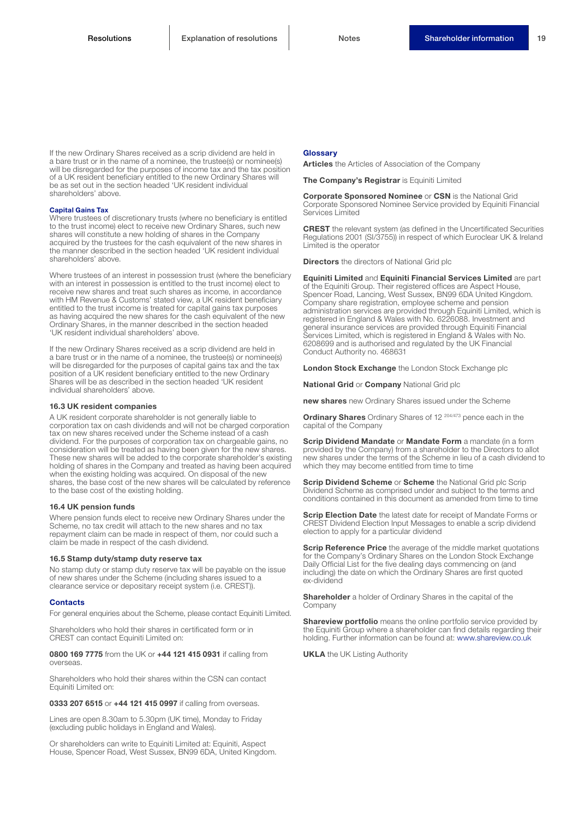If the new Ordinary Shares received as a scrip dividend are held in a bare trust or in the name of a nominee, the trustee(s) or nominee(s) will be disregarded for the purposes of income tax and the tax position of a UK resident beneficiary entitled to the new Ordinary Shares will be as set out in the section headed 'UK resident individual shareholders' above.

#### Capital Gains Tax

Where trustees of discretionary trusts (where no beneficiary is entitled to the trust income) elect to receive new Ordinary Shares, such new shares will constitute a new holding of shares in the Company acquired by the trustees for the cash equivalent of the new shares in the manner described in the section headed 'UK resident individual shareholders' above.

Where trustees of an interest in possession trust (where the beneficiary with an interest in possession is entitled to the trust income) elect to receive new shares and treat such shares as income, in accordance with HM Revenue & Customs' stated view, a UK resident beneficiary entitled to the trust income is treated for capital gains tax purposes as having acquired the new shares for the cash equivalent of the new Ordinary Shares, in the manner described in the section headed 'UK resident individual shareholders' above.

If the new Ordinary Shares received as a scrip dividend are held in a bare trust or in the name of a nominee, the trustee(s) or nominee(s) will be disregarded for the purposes of capital gains tax and the tax position of a UK resident beneficiary entitled to the new Ordinary Shares will be as described in the section headed 'UK resident individual shareholders' above.

#### 16.3 UK resident companies

A UK resident corporate shareholder is not generally liable to corporation tax on cash dividends and will not be charged corporation tax on new shares received under the Scheme instead of a cash dividend. For the purposes of corporation tax on chargeable gains, no consideration will be treated as having been given for the new shares. These new shares will be added to the corporate shareholder's existing holding of shares in the Company and treated as having been acquired when the existing holding was acquired. On disposal of the new shares, the base cost of the new shares will be calculated by reference to the base cost of the existing holding.

#### 16.4 UK pension funds

Where pension funds elect to receive new Ordinary Shares under the Scheme, no tax credit will attach to the new shares and no tax repayment claim can be made in respect of them, nor could such a claim be made in respect of the cash dividend.

#### 16.5 Stamp duty/stamp duty reserve tax

No stamp duty or stamp duty reserve tax will be payable on the issue of new shares under the Scheme (including shares issued to a clearance service or depositary receipt system (i.e. CREST)).

#### **Contacts**

For general enquiries about the Scheme, please contact Equiniti Limited.

Shareholders who hold their shares in certificated form or in CREST can contact Equiniti Limited on:

0800 169 7775 from the UK or +44 121 415 0931 if calling from overseas.

Shareholders who hold their shares within the CSN can contact Equiniti Limited on:

0333 207 6515 or +44 121 415 0997 if calling from overseas.

Lines are open 8.30am to 5.30pm (UK time), Monday to Friday (excluding public holidays in England and Wales).

Or shareholders can write to Equiniti Limited at: Equiniti, Aspect House, Spencer Road, West Sussex, BN99 6DA, United Kingdom.

#### Glossary

Articles the Articles of Association of the Company

The Company's Registrar is Equiniti Limited

Corporate Sponsored Nominee or CSN is the National Grid Corporate Sponsored Nominee Service provided by Equiniti Financial Services Limited

CREST the relevant system (as defined in the Uncertificated Securities Regulations 2001 (SI/3755)) in respect of which Euroclear UK & Ireland Limited is the operator

**Directors** the directors of National Grid plc

Equiniti Limited and Equiniti Financial Services Limited are part of the Equiniti Group. Their registered offices are Aspect House, Spencer Road, Lancing, West Sussex, BN99 6DA United Kingdom. Company share registration, employee scheme and pension administration services are provided through Equiniti Limited, which is registered in England & Wales with No. 6226088. Investment and general insurance services are provided through Equiniti Financial Services Limited, which is registered in England & Wales with No. 6208699 and is authorised and regulated by the UK Financial Conduct Authority no. 468631

London Stock Exchange the London Stock Exchange plc

**National Grid or Company National Grid plc** 

new shares new Ordinary Shares issued under the Scheme

Ordinary Shares Ordinary Shares of 12<sup>204/473</sup> pence each in the capital of the Company

Scrip Dividend Mandate or Mandate Form a mandate (in a form provided by the Company) from a shareholder to the Directors to allot new shares under the terms of the Scheme in lieu of a cash dividend to which they may become entitled from time to time

Scrip Dividend Scheme or Scheme the National Grid plc Scrip Dividend Scheme as comprised under and subject to the terms and conditions contained in this document as amended from time to time

**Scrip Election Date** the latest date for receipt of Mandate Forms or CREST Dividend Election Input Messages to enable a scrip dividend election to apply for a particular dividend

Scrip Reference Price the average of the middle market quotations for the Company's Ordinary Shares on the London Stock Exchange Daily Official List for the five dealing days commencing on (and including) the date on which the Ordinary Shares are first quoted ex-dividend

**Shareholder** a holder of Ordinary Shares in the capital of the Company

Shareview portfolio means the online portfolio service provided by the Equiniti Group where a shareholder can find details regarding their holding. Further information can be found at: www.shareview.co.uk

**UKLA** the UK Listing Authority